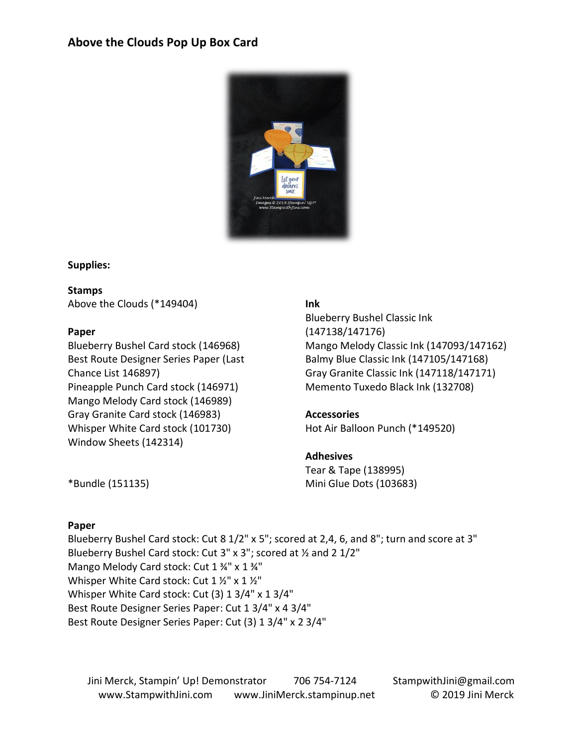## **Above the Clouds Pop Up Box Card**



## **Supplies:**

**Stamps**

Above the Clouds (\*149404)

## **Paper**

Blueberry Bushel Card stock (146968) Best Route Designer Series Paper (Last Chance List 146897) Pineapple Punch Card stock (146971) Mango Melody Card stock (146989) Gray Granite Card stock (146983) Whisper White Card stock (101730) Window Sheets (142314)

## **Ink**

Blueberry Bushel Classic Ink (147138/147176) Mango Melody Classic Ink (147093/147162) Balmy Blue Classic Ink (147105/147168) Gray Granite Classic Ink (147118/147171) Memento Tuxedo Black Ink (132708)

## **Accessories**

Hot Air Balloon Punch (\*149520)

#### **Adhesives**

Tear & Tape (138995) Mini Glue Dots (103683)

\*Bundle (151135)

#### **Paper**

Blueberry Bushel Card stock: Cut 8 1/2" x 5"; scored at 2,4, 6, and 8"; turn and score at 3" Blueberry Bushel Card stock: Cut 3" x 3"; scored at ½ and 2 1/2" Mango Melody Card stock: Cut 1 ¾" x 1 ¾" Whisper White Card stock: Cut 1 1/2" x 1 1/2" Whisper White Card stock: Cut (3) 1 3/4" x 1 3/4" Best Route Designer Series Paper: Cut 1 3/4" x 4 3/4" Best Route Designer Series Paper: Cut (3) 1 3/4" x 2 3/4"